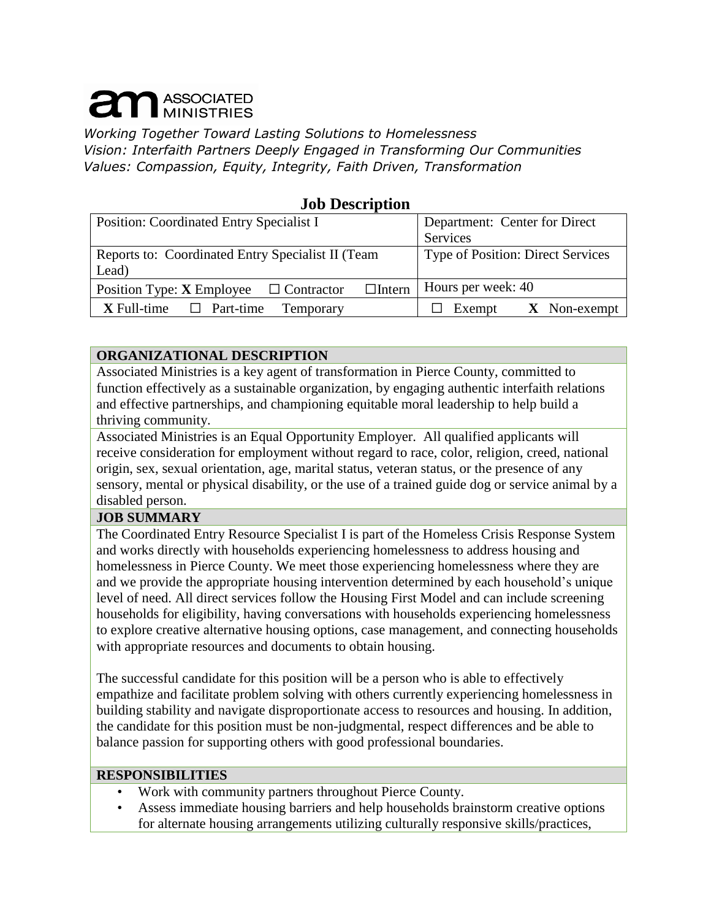# **am ASSOCIATED**

*Working Together Toward Lasting Solutions to Homelessness Vision: Interfaith Partners Deeply Engaged in Transforming Our Communities Values: Compassion, Equity, Integrity, Faith Driven, Transformation*

## **Job Description**

| Position: Coordinated Entry Specialist I                        | Department: Center for Direct            |
|-----------------------------------------------------------------|------------------------------------------|
|                                                                 | Services                                 |
| Reports to: Coordinated Entry Specialist II (Team               | <b>Type of Position: Direct Services</b> |
| Lead)                                                           |                                          |
| $\Box$ Intern<br>Position Type: X Employee<br>$\Box$ Contractor | Hours per week: 40                       |
| $X$ Full-time $\Box$ Part-time<br>Temporary                     | $X$ Non-exempt<br>Exempt                 |

#### **ORGANIZATIONAL DESCRIPTION**

Associated Ministries is a key agent of transformation in Pierce County, committed to function effectively as a sustainable organization, by engaging authentic interfaith relations and effective partnerships, and championing equitable moral leadership to help build a thriving community.

Associated Ministries is an Equal Opportunity Employer. All qualified applicants will receive consideration for employment without regard to race, color, religion, creed, national origin, sex, sexual orientation, age, marital status, veteran status, or the presence of any sensory, mental or physical disability, or the use of a trained guide dog or service animal by a disabled person.

## **JOB SUMMARY**

The Coordinated Entry Resource Specialist I is part of the Homeless Crisis Response System and works directly with households experiencing homelessness to address housing and homelessness in Pierce County. We meet those experiencing homelessness where they are and we provide the appropriate housing intervention determined by each household's unique level of need. All direct services follow the Housing First Model and can include screening households for eligibility, having conversations with households experiencing homelessness to explore creative alternative housing options, case management, and connecting households with appropriate resources and documents to obtain housing.

The successful candidate for this position will be a person who is able to effectively empathize and facilitate problem solving with others currently experiencing homelessness in building stability and navigate disproportionate access to resources and housing. In addition, the candidate for this position must be non-judgmental, respect differences and be able to balance passion for supporting others with good professional boundaries.

#### **RESPONSIBILITIES**

- Work with community partners throughout Pierce County.
- Assess immediate housing barriers and help households brainstorm creative options for alternate housing arrangements utilizing culturally responsive skills/practices,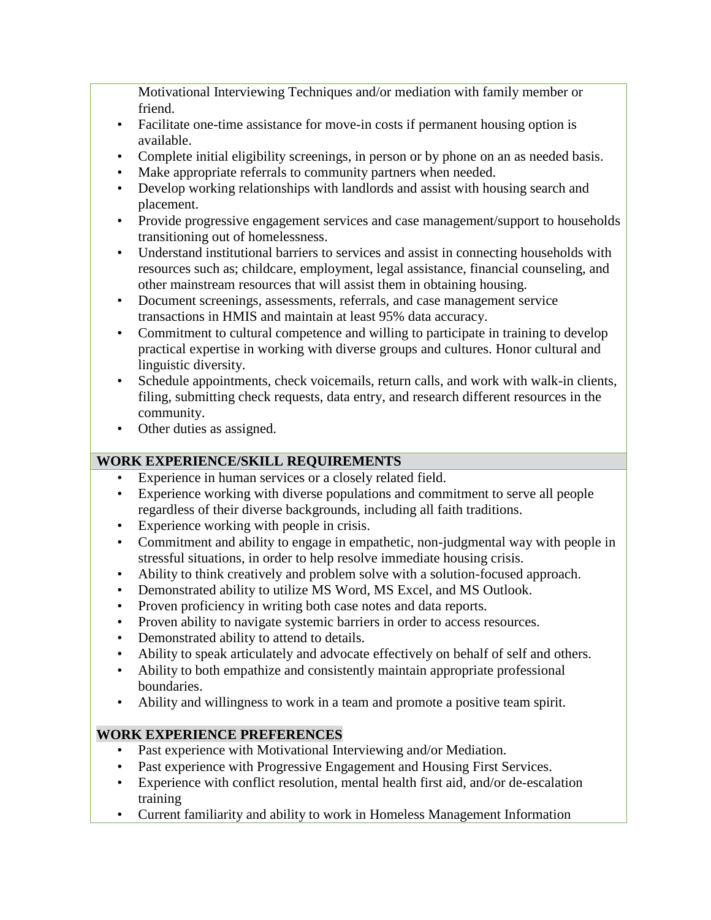Motivational Interviewing Techniques and/or mediation with family member or friend.

- Facilitate one-time assistance for move-in costs if permanent housing option is available.
- Complete initial eligibility screenings, in person or by phone on an as needed basis.
- Make appropriate referrals to community partners when needed.
- Develop working relationships with landlords and assist with housing search and placement.
- Provide progressive engagement services and case management/support to households transitioning out of homelessness.
- Understand institutional barriers to services and assist in connecting households with resources such as; childcare, employment, legal assistance, financial counseling, and other mainstream resources that will assist them in obtaining housing.
- Document screenings, assessments, referrals, and case management service transactions in HMIS and maintain at least 95% data accuracy.
- Commitment to cultural competence and willing to participate in training to develop practical expertise in working with diverse groups and cultures. Honor cultural and linguistic diversity.
- Schedule appointments, check voicemails, return calls, and work with walk-in clients, filing, submitting check requests, data entry, and research different resources in the community.
- Other duties as assigned.

# **WORK EXPERIENCE/SKILL REQUIREMENTS**

- Experience in human services or a closely related field.
- Experience working with diverse populations and commitment to serve all people regardless of their diverse backgrounds, including all faith traditions.
- Experience working with people in crisis.
- Commitment and ability to engage in empathetic, non-judgmental way with people in stressful situations, in order to help resolve immediate housing crisis.
- Ability to think creatively and problem solve with a solution-focused approach.
- Demonstrated ability to utilize MS Word, MS Excel, and MS Outlook.
- Proven proficiency in writing both case notes and data reports.
- Proven ability to navigate systemic barriers in order to access resources.
- Demonstrated ability to attend to details.
- Ability to speak articulately and advocate effectively on behalf of self and others.
- Ability to both empathize and consistently maintain appropriate professional boundaries.
- Ability and willingness to work in a team and promote a positive team spirit.

# **WORK EXPERIENCE PREFERENCES**

- Past experience with Motivational Interviewing and/or Mediation.
- Past experience with Progressive Engagement and Housing First Services.
- Experience with conflict resolution, mental health first aid, and/or de-escalation training
- Current familiarity and ability to work in Homeless Management Information